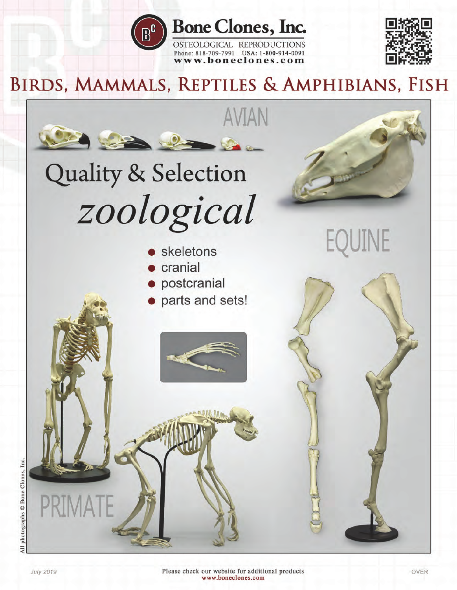

# **Bone Clones, Inc.**

OSTEOLOGICAL REPRODUCTIONS Phone: 818-709-7991 USA: 1-800-914-0091 www.boneclones.com



# BIRDS, MAMMALS, REPTILES & AMPHIBIANS, FISH